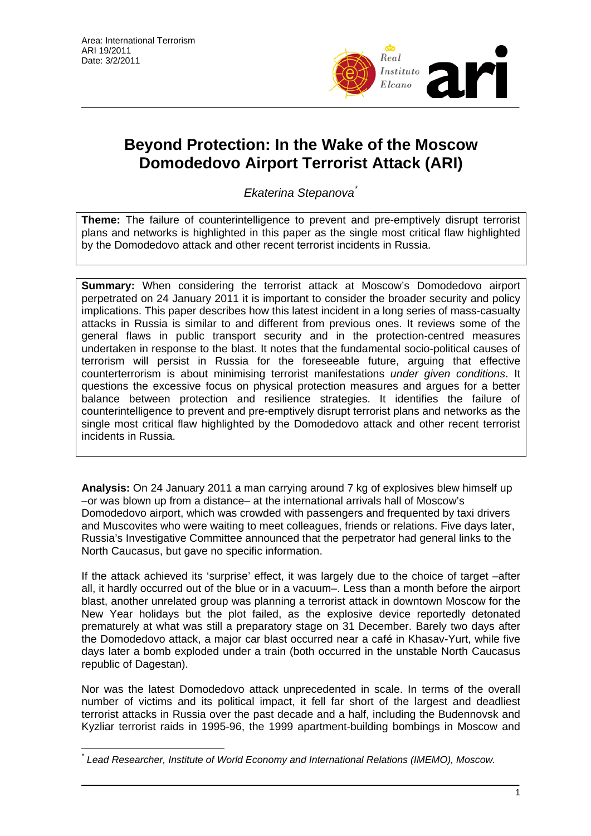

# **Beyond Protection: In the Wake of the Moscow Domodedovo Airport Terrorist Attack (ARI)**

*Ekaterina Stepanova*[\\*](#page-0-0)

**Theme:** The failure of counterintelligence to prevent and pre-emptively disrupt terrorist plans and networks is highlighted in this paper as the single most critical flaw highlighted by the Domodedovo attack and other recent terrorist incidents in Russia.

**Summary:** When considering the terrorist attack at Moscow's Domodedovo airport perpetrated on 24 January 2011 it is important to consider the broader security and policy implications. This paper describes how this latest incident in a long series of mass-casualty attacks in Russia is similar to and different from previous ones. It reviews some of the general flaws in public transport security and in the protection-centred measures undertaken in response to the blast. It notes that the fundamental socio-political causes of terrorism will persist in Russia for the foreseeable future, arguing that effective counterterrorism is about minimising terrorist manifestations *under given conditions*. It questions the excessive focus on physical protection measures and argues for a better balance between protection and resilience strategies. It identifies the failure of counterintelligence to prevent and pre-emptively disrupt terrorist plans and networks as the single most critical flaw highlighted by the Domodedovo attack and other recent terrorist incidents in Russia.

**Analysis:** On 24 January 2011 a man carrying around 7 kg of explosives blew himself up –or was blown up from a distance– at the international arrivals hall of Moscow's Domodedovo airport, which was crowded with passengers and frequented by taxi drivers and Muscovites who were waiting to meet colleagues, friends or relations. Five days later, Russia's Investigative Committee announced that the perpetrator had general links to the North Caucasus, but gave no specific information.

If the attack achieved its 'surprise' effect, it was largely due to the choice of target –after all, it hardly occurred out of the blue or in a vacuum–. Less than a month before the airport blast, another unrelated group was planning a terrorist attack in downtown Moscow for the New Year holidays but the plot failed, as the explosive device reportedly detonated prematurely at what was still a preparatory stage on 31 December. Barely two days after the Domodedovo attack, a major car blast occurred near a café in Khasav-Yurt, while five days later a bomb exploded under a train (both occurred in the unstable North Caucasus republic of Dagestan).

Nor was the latest Domodedovo attack unprecedented in scale. In terms of the overall number of victims and its political impact, it fell far short of the largest and deadliest terrorist attacks in Russia over the past decade and a half, including the Budennovsk and Kyzliar terrorist raids in 1995-96, the 1999 apartment-building bombings in Moscow and

<span id="page-0-0"></span> $\overline{a}$ *\* Lead Researcher, Institute of World Economy and International Relations (IMEMO), Moscow.*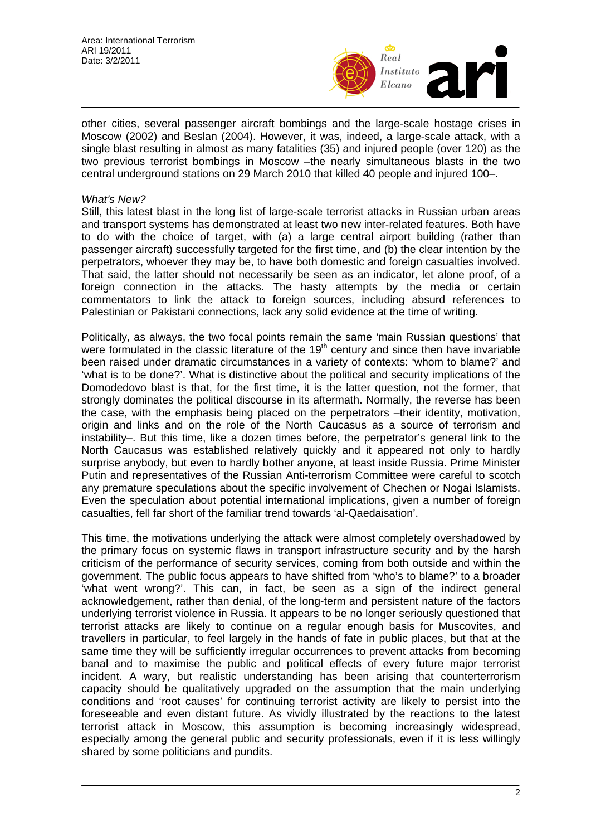

other cities, several passenger aircraft bombings and the large-scale hostage crises in Moscow (2002) and Beslan (2004). However, it was, indeed, a large-scale attack, with a single blast resulting in almost as many fatalities (35) and injured people (over 120) as the two previous terrorist bombings in Moscow –the nearly simultaneous blasts in the two central underground stations on 29 March 2010 that killed 40 people and injured 100–.

#### *What's New?*

Still, this latest blast in the long list of large-scale terrorist attacks in Russian urban areas and transport systems has demonstrated at least two new inter-related features. Both have to do with the choice of target, with (a) a large central airport building (rather than passenger aircraft) successfully targeted for the first time, and (b) the clear intention by the perpetrators, whoever they may be, to have both domestic and foreign casualties involved. That said, the latter should not necessarily be seen as an indicator, let alone proof, of a foreign connection in the attacks. The hasty attempts by the media or certain commentators to link the attack to foreign sources, including absurd references to Palestinian or Pakistani connections, lack any solid evidence at the time of writing.

Politically, as always, the two focal points remain the same 'main Russian questions' that were formulated in the classic literature of the  $19<sup>th</sup>$  century and since then have invariable been raised under dramatic circumstances in a variety of contexts: 'whom to blame?' and 'what is to be done?'. What is distinctive about the political and security implications of the Domodedovo blast is that, for the first time, it is the latter question, not the former, that strongly dominates the political discourse in its aftermath. Normally, the reverse has been the case, with the emphasis being placed on the perpetrators –their identity, motivation, origin and links and on the role of the North Caucasus as a source of terrorism and instability–. But this time, like a dozen times before, the perpetrator's general link to the North Caucasus was established relatively quickly and it appeared not only to hardly surprise anybody, but even to hardly bother anyone, at least inside Russia. Prime Minister Putin and representatives of the Russian Anti-terrorism Committee were careful to scotch any premature speculations about the specific involvement of Chechen or Nogai Islamists. Even the speculation about potential international implications, given a number of foreign casualties, fell far short of the familiar trend towards 'al-Qaedaisation'.

This time, the motivations underlying the attack were almost completely overshadowed by the primary focus on systemic flaws in transport infrastructure security and by the harsh criticism of the performance of security services, coming from both outside and within the government. The public focus appears to have shifted from 'who's to blame?' to a broader 'what went wrong?'. This can, in fact, be seen as a sign of the indirect general acknowledgement, rather than denial, of the long-term and persistent nature of the factors underlying terrorist violence in Russia. It appears to be no longer seriously questioned that terrorist attacks are likely to continue on a regular enough basis for Muscovites, and travellers in particular, to feel largely in the hands of fate in public places, but that at the same time they will be sufficiently irregular occurrences to prevent attacks from becoming banal and to maximise the public and political effects of every future major terrorist incident. A wary, but realistic understanding has been arising that counterterrorism capacity should be qualitatively upgraded on the assumption that the main underlying conditions and 'root causes' for continuing terrorist activity are likely to persist into the foreseeable and even distant future. As vividly illustrated by the reactions to the latest terrorist attack in Moscow, this assumption is becoming increasingly widespread, especially among the general public and security professionals, even if it is less willingly shared by some politicians and pundits.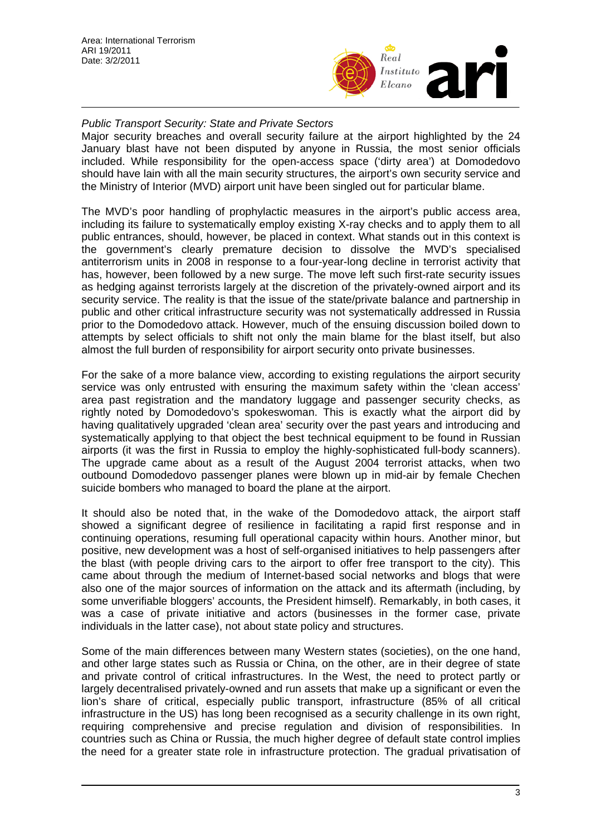

## *Public Transport Security: State and Private Sectors*

Major security breaches and overall security failure at the airport highlighted by the 24 January blast have not been disputed by anyone in Russia, the most senior officials included. While responsibility for the open-access space ('dirty area') at Domodedovo should have lain with all the main security structures, the airport's own security service and the Ministry of Interior (MVD) airport unit have been singled out for particular blame.

The MVD's poor handling of prophylactic measures in the airport's public access area, including its failure to systematically employ existing X-ray checks and to apply them to all public entrances, should, however, be placed in context. What stands out in this context is the government's clearly premature decision to dissolve the MVD's specialised antiterrorism units in 2008 in response to a four-year-long decline in terrorist activity that has, however, been followed by a new surge. The move left such first-rate security issues as hedging against terrorists largely at the discretion of the privately-owned airport and its security service. The reality is that the issue of the state/private balance and partnership in public and other critical infrastructure security was not systematically addressed in Russia prior to the Domodedovo attack. However, much of the ensuing discussion boiled down to attempts by select officials to shift not only the main blame for the blast itself, but also almost the full burden of responsibility for airport security onto private businesses.

For the sake of a more balance view, according to existing regulations the airport security service was only entrusted with ensuring the maximum safety within the 'clean access' area past registration and the mandatory luggage and passenger security checks, as rightly noted by Domodedovo's spokeswoman. This is exactly what the airport did by having qualitatively upgraded 'clean area' security over the past years and introducing and systematically applying to that object the best technical equipment to be found in Russian airports (it was the first in Russia to employ the highly-sophisticated full-body scanners). The upgrade came about as a result of the August 2004 terrorist attacks, when two outbound Domodedovo passenger planes were blown up in mid-air by female Chechen suicide bombers who managed to board the plane at the airport.

It should also be noted that, in the wake of the Domodedovo attack, the airport staff showed a significant degree of resilience in facilitating a rapid first response and in continuing operations, resuming full operational capacity within hours. Another minor, but positive, new development was a host of self-organised initiatives to help passengers after the blast (with people driving cars to the airport to offer free transport to the city). This came about through the medium of Internet-based social networks and blogs that were also one of the major sources of information on the attack and its aftermath (including, by some unverifiable bloggers' accounts, the President himself). Remarkably, in both cases, it was a case of private initiative and actors (businesses in the former case, private individuals in the latter case), not about state policy and structures.

Some of the main differences between many Western states (societies), on the one hand, and other large states such as Russia or China, on the other, are in their degree of state and private control of critical infrastructures. In the West, the need to protect partly or largely decentralised privately-owned and run assets that make up a significant or even the lion's share of critical, especially public transport, infrastructure (85% of all critical infrastructure in the US) has long been recognised as a security challenge in its own right, requiring comprehensive and precise regulation and division of responsibilities. In countries such as China or Russia, the much higher degree of default state control implies the need for a greater state role in infrastructure protection. The gradual privatisation of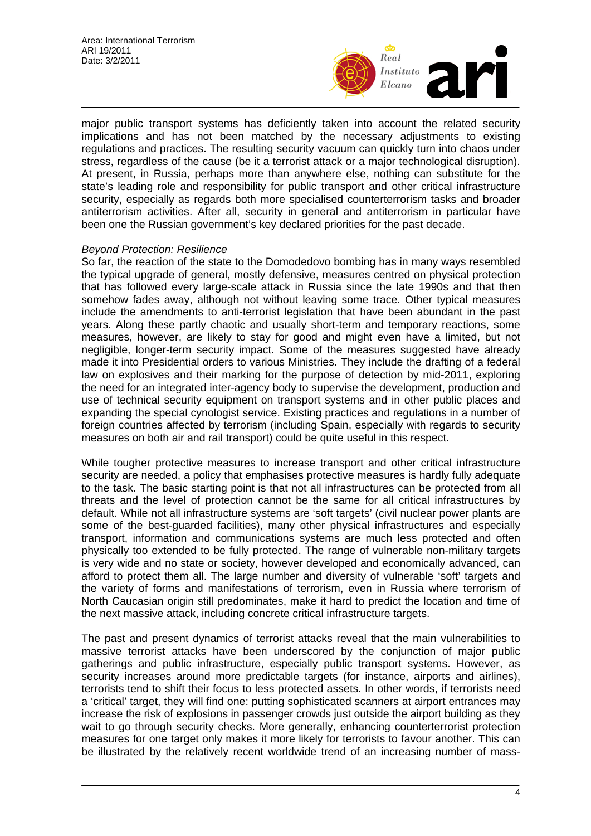

major public transport systems has deficiently taken into account the related security implications and has not been matched by the necessary adjustments to existing regulations and practices. The resulting security vacuum can quickly turn into chaos under stress, regardless of the cause (be it a terrorist attack or a major technological disruption). At present, in Russia, perhaps more than anywhere else, nothing can substitute for the state's leading role and responsibility for public transport and other critical infrastructure security, especially as regards both more specialised counterterrorism tasks and broader antiterrorism activities. After all, security in general and antiterrorism in particular have been one the Russian government's key declared priorities for the past decade.

#### *Beyond Protection: Resilience*

So far, the reaction of the state to the Domodedovo bombing has in many ways resembled the typical upgrade of general, mostly defensive, measures centred on physical protection that has followed every large-scale attack in Russia since the late 1990s and that then somehow fades away, although not without leaving some trace. Other typical measures include the amendments to anti-terrorist legislation that have been abundant in the past years. Along these partly chaotic and usually short-term and temporary reactions, some measures, however, are likely to stay for good and might even have a limited, but not negligible, longer-term security impact. Some of the measures suggested have already made it into Presidential orders to various Ministries. They include the drafting of a federal law on explosives and their marking for the purpose of detection by mid-2011, exploring the need for an integrated inter-agency body to supervise the development, production and use of technical security equipment on transport systems and in other public places and expanding the special cynologist service. Existing practices and regulations in a number of foreign countries affected by terrorism (including Spain, especially with regards to security measures on both air and rail transport) could be quite useful in this respect.

While tougher protective measures to increase transport and other critical infrastructure security are needed, a policy that emphasises protective measures is hardly fully adequate to the task. The basic starting point is that not all infrastructures can be protected from all threats and the level of protection cannot be the same for all critical infrastructures by default. While not all infrastructure systems are 'soft targets' (civil nuclear power plants are some of the best-guarded facilities), many other physical infrastructures and especially transport, information and communications systems are much less protected and often physically too extended to be fully protected. The range of vulnerable non-military targets is very wide and no state or society, however developed and economically advanced, can afford to protect them all. The large number and diversity of vulnerable 'soft' targets and the variety of forms and manifestations of terrorism, even in Russia where terrorism of North Caucasian origin still predominates, make it hard to predict the location and time of the next massive attack, including concrete critical infrastructure targets.

The past and present dynamics of terrorist attacks reveal that the main vulnerabilities to massive terrorist attacks have been underscored by the conjunction of major public gatherings and public infrastructure, especially public transport systems. However, as security increases around more predictable targets (for instance, airports and airlines), terrorists tend to shift their focus to less protected assets. In other words, if terrorists need a 'critical' target, they will find one: putting sophisticated scanners at airport entrances may increase the risk of explosions in passenger crowds just outside the airport building as they wait to go through security checks. More generally, enhancing counterterrorist protection measures for one target only makes it more likely for terrorists to favour another. This can be illustrated by the relatively recent worldwide trend of an increasing number of mass-